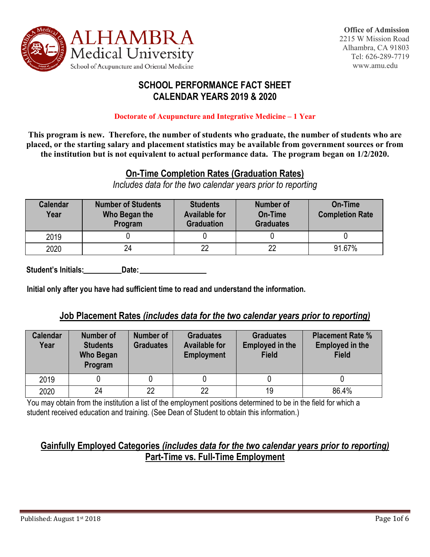

### **SCHOOL PERFORMANCE FACT SHEET CALENDAR YEARS 2019 & 2020**

#### **Doctorate of Acupuncture and Integrative Medicine – 1 Year**

**This program is new. Therefore, the number of students who graduate, the number of students who are placed, or the starting salary and placement statistics may be available from government sources or from the institution but is not equivalent to actual performance data. The program began on 1/2/2020.** 

### **On-Time Completion Rates (Graduation Rates)**

*Includes data for the two calendar years prior to reporting*

| <b>Calendar</b><br>Year | <b>Number of Students</b><br>Who Began the<br>Program | <b>Students</b><br><b>Available for</b><br><b>Graduation</b> | Number of<br><b>On-Time</b><br><b>Graduates</b> | On-Time<br><b>Completion Rate</b> |
|-------------------------|-------------------------------------------------------|--------------------------------------------------------------|-------------------------------------------------|-----------------------------------|
| 2019                    |                                                       |                                                              |                                                 |                                   |
| 2020                    | 24                                                    | 22                                                           | つつ                                              | 91.67%                            |

 **Student's Initials: Date:**

**Initial only after you have had sufficient time to read and understand the information.** 

#### **Job Placement Rates** *(includes data for the two calendar years prior to reporting)*

| <b>Calendar</b><br>Year | Number of<br><b>Students</b><br>Who Began<br>Program | <b>Number of</b><br><b>Graduates</b> | <b>Graduates</b><br><b>Available for</b><br><b>Employment</b> | <b>Graduates</b><br><b>Employed in the</b><br><b>Field</b> | <b>Placement Rate %</b><br><b>Employed in the</b><br><b>Field</b> |
|-------------------------|------------------------------------------------------|--------------------------------------|---------------------------------------------------------------|------------------------------------------------------------|-------------------------------------------------------------------|
| 2019                    |                                                      |                                      |                                                               |                                                            |                                                                   |
| 2020                    | 24                                                   | 22                                   | 22                                                            | 19                                                         | 86.4%                                                             |

You may obtain from the institution a list of the employment positions determined to be in the field for which a student received education and training. (See Dean of Student to obtain this information.)

### **Gainfully Employed Categories** *(includes data for the two calendar years prior to reporting)*  **Part-Time vs. Full-Time Employment**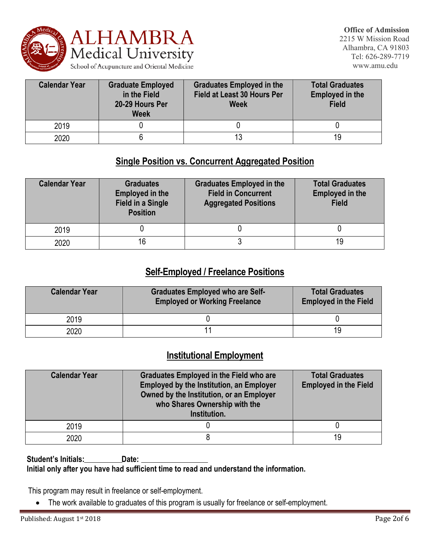

| <b>Calendar Year</b> | <b>Graduate Employed</b><br>in the Field<br>20-29 Hours Per<br><b>Week</b> | <b>Graduates Employed in the</b><br><b>Field at Least 30 Hours Per</b><br><b>Week</b> | <b>Total Graduates</b><br><b>Employed in the</b><br><b>Field</b> |
|----------------------|----------------------------------------------------------------------------|---------------------------------------------------------------------------------------|------------------------------------------------------------------|
| 2019                 |                                                                            |                                                                                       |                                                                  |
| 2020                 |                                                                            |                                                                                       | 19                                                               |

### **Single Position vs. Concurrent Aggregated Position**

| <b>Calendar Year</b> | <b>Graduates</b><br><b>Employed in the</b><br><b>Field in a Single</b><br><b>Position</b> | <b>Graduates Employed in the</b><br><b>Field in Concurrent</b><br><b>Aggregated Positions</b> | <b>Total Graduates</b><br><b>Employed in the</b><br><b>Field</b> |  |
|----------------------|-------------------------------------------------------------------------------------------|-----------------------------------------------------------------------------------------------|------------------------------------------------------------------|--|
| 2019                 |                                                                                           |                                                                                               |                                                                  |  |
| 2020                 | 16                                                                                        |                                                                                               | 19                                                               |  |

### **Self-Employed / Freelance Positions**

| <b>Calendar Year</b> | <b>Graduates Employed who are Self-</b><br><b>Employed or Working Freelance</b> | <b>Total Graduates</b><br><b>Employed in the Field</b> |
|----------------------|---------------------------------------------------------------------------------|--------------------------------------------------------|
| 2019                 |                                                                                 |                                                        |
| 2020                 |                                                                                 | 19                                                     |

### **Institutional Employment**

| <b>Calendar Year</b> | <b>Graduates Employed in the Field who are</b><br><b>Employed by the Institution, an Employer</b><br>Owned by the Institution, or an Employer<br>who Shares Ownership with the<br>Institution. | <b>Total Graduates</b><br><b>Employed in the Field</b> |
|----------------------|------------------------------------------------------------------------------------------------------------------------------------------------------------------------------------------------|--------------------------------------------------------|
| 2019                 |                                                                                                                                                                                                |                                                        |
| 2020                 |                                                                                                                                                                                                | 19                                                     |

Student's Initials:\_\_\_\_\_\_\_\_\_\_\_\_Date: \_ **Initial only after you have had sufficient time to read and understand the information.**

This program may result in freelance or self-employment.

• The work available to graduates of this program is usually for freelance or self-employment.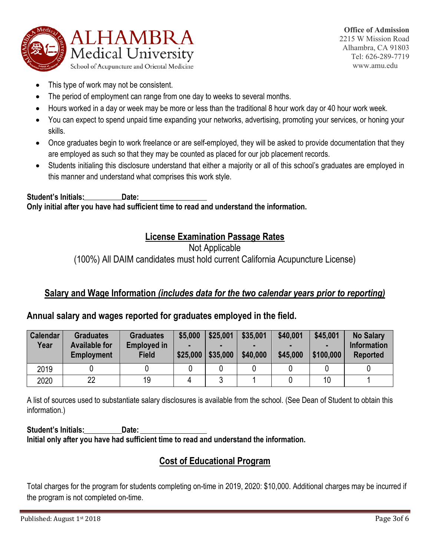

- This type of work may not be consistent.
- The period of employment can range from one day to weeks to several months.
- Hours worked in a day or week may be more or less than the traditional 8 hour work day or 40 hour work week.
- You can expect to spend unpaid time expanding your networks, advertising, promoting your services, or honing your skills.
- Once graduates begin to work freelance or are self-employed, they will be asked to provide documentation that they are employed as such so that they may be counted as placed for our job placement records.
- Students initialing this disclosure understand that either a majority or all of this school's graduates are employed in this manner and understand what comprises this work style.

**Student's Initials: Date: Only initial after you have had sufficient time to read and understand the information.**

## **License Examination Passage Rates**

#### Not Applicable

(100%) All DAIM candidates must hold current California Acupuncture License)

### **Salary and Wage Information** *(includes data for the two calendar years prior to reporting)*

#### **Annual salary and wages reported for graduates employed in the field.**

| <b>Calendar</b><br>Year | <b>Graduates</b><br><b>Available for</b><br><b>Employment</b> | <b>Graduates</b><br><b>Employed in</b><br><b>Field</b> | \$5,000<br>\$25,000 | \$25,001<br>\$35,000 | \$35,001<br>٠<br>\$40,000 | \$40,001<br>\$45,000 | \$45,001<br>٠<br>\$100,000 | <b>No Salary</b><br><b>Information</b><br><b>Reported</b> |
|-------------------------|---------------------------------------------------------------|--------------------------------------------------------|---------------------|----------------------|---------------------------|----------------------|----------------------------|-----------------------------------------------------------|
| 2019                    |                                                               |                                                        |                     |                      |                           |                      |                            |                                                           |
| 2020                    | 22                                                            | 19                                                     |                     |                      |                           |                      | 10                         |                                                           |

A list of sources used to substantiate salary disclosures is available from the school. (See Dean of Student to obtain this information.)

**Student's Initials: Date: Initial only after you have had sufficient time to read and understand the information.**

## **Cost of Educational Program**

Total charges for the program for students completing on-time in 2019, 2020: \$10,000. Additional charges may be incurred if the program is not completed on-time.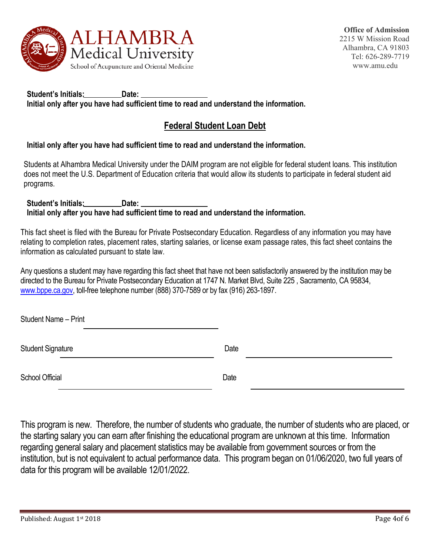

**Student's Initials: Date: Initial only after you have had sufficient time to read and understand the information.**

### **Federal Student Loan Debt**

#### **Initial only after you have had sufficient time to read and understand the information.**

Students at Alhambra Medical University under the DAIM program are not eligible for federal student loans. This institution does not meet the U.S. Department of Education criteria that would allow its students to participate in federal student aid programs.

**Student's Initials: Date: Initial only after you have had sufficient time to read and understand the information.**

This fact sheet is filed with the Bureau for Private Postsecondary Education. Regardless of any information you may have relating to completion rates, placement rates, starting salaries, or license exam passage rates, this fact sheet contains the information as calculated pursuant to state law.

Any questions a student may have regarding this fact sheet that have not been satisfactorily answered by the institution may be directed to the Bureau for Private Postsecondary Education at 1747 N. Market Blvd, Suite 225 , Sacramento, CA 95834, [www.bppe.ca.gov,](http://www.bppe.ca.gov/) toll-free telephone number (888) 370-7589 or by fax (916) 263-1897.

| Student Name - Print     |      |
|--------------------------|------|
| <b>Student Signature</b> | Date |
| School Official          | Date |

This program is new. Therefore, the number of students who graduate, the number of students who are placed, or the starting salary you can earn after finishing the educational program are unknown at this time. Information regarding general salary and placement statistics may be available from government sources or from the institution, but is not equivalent to actual performance data. This program began on 01/06/2020, two full years of data for this program will be available 12/01/2022.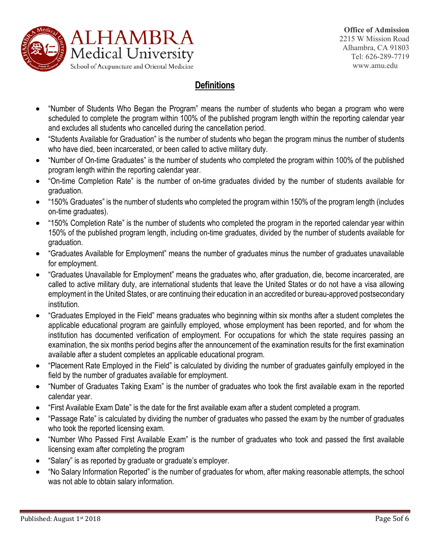

# **Definitions**

- "Number of Students Who Began the Program" means the number of students who began a program who were scheduled to complete the program within 100% of the published program length within the reporting calendar year and excludes all students who cancelled during the cancellation period.
- "Students Available for Graduation" is the number of students who began the program minus the number of students who have died, been incarcerated, or been called to active military duty.
- "Number of On-time Graduates" is the number of students who completed the program within 100% of the published program length within the reporting calendar year.
- "On-time Completion Rate" is the number of on-time graduates divided by the number of students available for graduation.
- "150% Graduates" is the number of students who completed the program within 150% of the program length (includes on-time graduates).
- "150% Completion Rate" is the number of students who completed the program in the reported calendar year within 150% of the published program length, including on-time graduates, divided by the number of students available for graduation.
- "Graduates Available for Employment" means the number of graduates minus the number of graduates unavailable for employment.
- "Graduates Unavailable for Employment" means the graduates who, after graduation, die, become incarcerated, are called to active military duty, are international students that leave the United States or do not have a visa allowing employment in the United States, or are continuing their education in an accredited or bureau-approved postsecondary institution.
- "Graduates Employed in the Field" means graduates who beginning within six months after a student completes the applicable educational program are gainfully employed, whose employment has been reported, and for whom the institution has documented verification of employment. For occupations for which the state requires passing an examination, the six months period begins after the announcement of the examination results for the first examination available after a student completes an applicable educational program.
- "Placement Rate Employed in the Field" is calculated by dividing the number of graduates gainfully employed in the field by the number of graduates available for employment.
- "Number of Graduates Taking Exam" is the number of graduates who took the first available exam in the reported calendar year.
- "First Available Exam Date" is the date for the first available exam after a student completed a program.
- "Passage Rate" is calculated by dividing the number of graduates who passed the exam by the number of graduates who took the reported licensing exam.
- "Number Who Passed First Available Exam" is the number of graduates who took and passed the first available licensing exam after completing the program
- "Salary" is as reported by graduate or graduate's employer.
- "No Salary Information Reported" is the number of graduates for whom, after making reasonable attempts, the school was not able to obtain salary information.